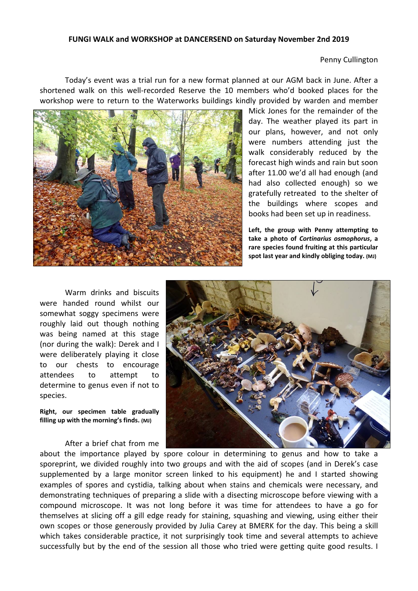## **FUNGI WALK and WORKSHOP at DANCERSEND on Saturday November 2nd 2019**

Penny Cullington

 Today's event was a trial run for a new format planned at our AGM back in June. After a shortened walk on this well-recorded Reserve the 10 members who'd booked places for the workshop were to return to the Waterworks buildings kindly provided by warden and member



Mick Jones for the remainder of the day. The weather played its part in our plans, however, and not only were numbers attending just the walk considerably reduced by the forecast high winds and rain but soon after 11.00 we'd all had enough (and had also collected enough) so we gratefully retreated to the shelter of the buildings where scopes and books had been set up in readiness.

**Left, the group with Penny attempting to take a photo of**  *Cortinarius osmophorus***, a rare species found fruiting at this particular spot last year and kindly obliging today. (MJ)** 

 Warm drinks and biscuits were handed round whilst our somewhat soggy specimens were roughly laid out though nothing was being named at this stage (nor during the walk): Derek and I were deliberately playing it close to our chests to encourage attendees to attempt to determine to genus even if not to species.

**Right, our specimen table gradually filling up with the morning's finds. (MJ)** 

After a brief chat from me



about the importance played by spore colour in determining to genus and how to take a sporeprint, we divided roughly into two groups and with the aid of scopes (and in Derek's case supplemented by a large monitor screen linked to his equipment) he and I started showing examples of spores and cystidia, talking about when stains and chemicals were necessary, and demonstrating techniques of preparing a slide with a disecting microscope before viewing with a compound microscope. It was not long before it was time for attendees to have a go for themselves at slicing off a gill edge ready for staining, squashing and viewing, using either their own scopes or those generously provided by Julia Carey at BMERK for the day. This being a skill which takes considerable practice, it not surprisingly took time and several attempts to achieve successfully but by the end of the session all those who tried were getting quite good results. I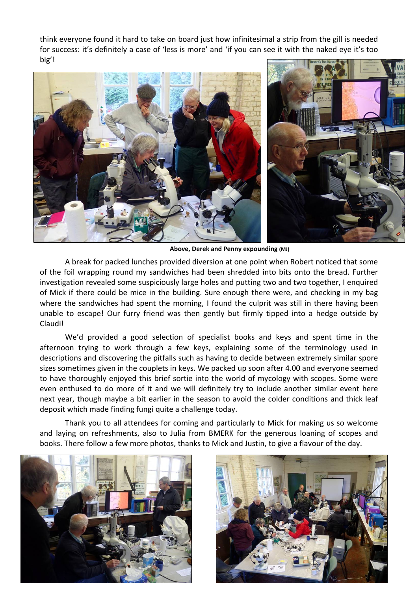think everyone found it hard to take on board just how infinitesimal a strip from the gill is needed for success: it's definitely a case of 'less is more' and 'if you can see it with the naked eye it's too big'!



 **Above, Derek and Penny expounding (MJ)** 

A break for packed lunches provided diversion at one point when Robert noticed that some of the foil wrapping round my sandwiches had been shredded into bits onto the bread. Further investigation revealed some suspiciously large holes and putting two and two together, I enquired of Mick if there could be mice in the building. Sure enough there were, and checking in my bag where the sandwiches had spent the morning, I found the culprit was still in there having been unable to escape! Our furry friend was then gently but firmly tipped into a hedge outside by Claudi!

We'd provided a good selection of specialist books and keys and spent time in the afternoon trying to work through a few keys, explaining some of the terminology used in descriptions and discovering the pitfalls such as having to decide between extremely similar spore sizes sometimes given in the couplets in keys. We packed up soon after 4.00 and everyone seemed to have thoroughly enjoyed this brief sortie into the world of mycology with scopes. Some were even enthused to do more of it and we will definitely try to include another similar event here next year, though maybe a bit earlier in the season to avoid the colder conditions and thick leaf deposit which made finding fungi quite a challenge today.

Thank you to all attendees for coming and particularly to Mick for making us so welcome and laying on refreshments, also to Julia from BMERK for the generous loaning of scopes and books. There follow a few more photos, thanks to Mick and Justin, to give a flavour of the day.